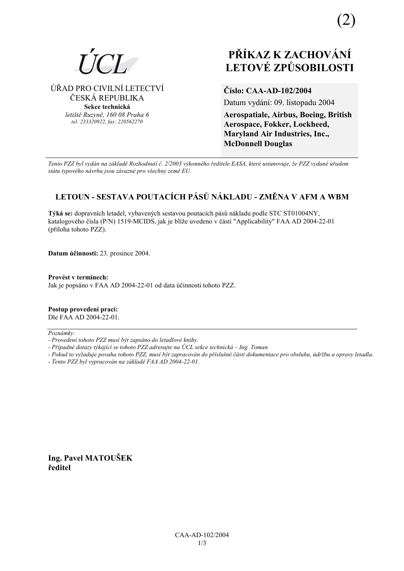ÚŘAD PRO CIVILNÍ LETECTVÍ

ČESKÁ REPUBLIKA

Sekce technická letiště Ruzyně, 160 08 Praha 6

tel: 233320922, fax: 220562270

# PŘÍKAZ K ZACHOVÁNÍ **LETOVÉ ZPŮSOBILOSTI**

Číslo: CAA-AD-102/2004

Datum vydání: 09. listopadu 2004

**Aerospatiale, Airbus, Boeing, British** Aerospace, Fokker, Lockheed, Maryland Air Industries, Inc., **McDonnell Douglas** 

Tento PZZ byl vydán na základě Rozhodnutí č. 2/2003 výkonného ředitele EASA, které ustanovuje, že PZZ vydané úřadem státu typového návrhu jsou závazné pro všechny země EU.

# LETOUN - SESTAVA POUTACÍCH PÁSŮ NÁKLADU - ZMĚNA V AFM A WBM

Týká se: dopravních letadel, vybavených sestavou poutacích pásů nákladu podle STC ST01004NY. katalogového čísla (P/N) 1519-MCIDS, jak je blíže uvedeno v části "Applicability" FAA AD 2004-22-01 (příloha tohoto PZZ).

Datum účinnosti: 23. prosince 2004.

Provést v termínech: Jak je popsáno v FAA AD 2004-22-01 od data účinnosti tohoto PZZ.

Postup provedení prací: Dle FAA AD 2004-22-01.

Poznámky:

- Případné dotazy týkající se tohoto PZZ adresujte na ÚCL sekce technická Ing. Toman.
- Pokud to vyžaduje povaha tohoto PZZ, musí být zapracován do příslušné části dokumentace pro obsluhu, údržbu a opravy letadla.
- Tento PZZ byl vypracován na základě FAA AD 2004-22-01.

Ing. Pavel MATOUŠEK ředitel

<sup>-</sup> Provedení tohoto PZZ musí být zapsáno do letadlové knihy.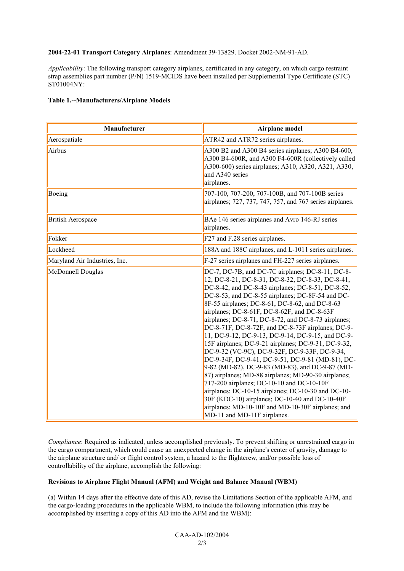#### **2004-22-01 Transport Category Airplanes**: Amendment 39-13829. Docket 2002-NM-91-AD.

*Applicability*: The following transport category airplanes, certificated in any category, on which cargo restraint strap assemblies part number (P/N) 1519-MCIDS have been installed per Supplemental Type Certificate (STC) ST01004NY:

### **Table 1.--Manufacturers/Airplane Models**

| Manufacturer                  | Airplane model                                                                                                                                                                                                                                                                                                                                                                                                                                                                                                                                                                                                                                                                                                                                                                                                                                                                                                                                                                                 |
|-------------------------------|------------------------------------------------------------------------------------------------------------------------------------------------------------------------------------------------------------------------------------------------------------------------------------------------------------------------------------------------------------------------------------------------------------------------------------------------------------------------------------------------------------------------------------------------------------------------------------------------------------------------------------------------------------------------------------------------------------------------------------------------------------------------------------------------------------------------------------------------------------------------------------------------------------------------------------------------------------------------------------------------|
| Aerospatiale                  | ATR42 and ATR72 series airplanes.                                                                                                                                                                                                                                                                                                                                                                                                                                                                                                                                                                                                                                                                                                                                                                                                                                                                                                                                                              |
| Airbus                        | A300 B2 and A300 B4 series airplanes; A300 B4-600,<br>A300 B4-600R, and A300 F4-600R (collectively called<br>A300-600) series airplanes; A310, A320, A321, A330,<br>and A340 series<br>airplanes.                                                                                                                                                                                                                                                                                                                                                                                                                                                                                                                                                                                                                                                                                                                                                                                              |
| Boeing                        | 707-100, 707-200, 707-100B, and 707-100B series<br>airplanes; 727, 737, 747, 757, and 767 series airplanes.                                                                                                                                                                                                                                                                                                                                                                                                                                                                                                                                                                                                                                                                                                                                                                                                                                                                                    |
| <b>British Aerospace</b>      | BAe 146 series airplanes and Avro 146-RJ series<br>airplanes.                                                                                                                                                                                                                                                                                                                                                                                                                                                                                                                                                                                                                                                                                                                                                                                                                                                                                                                                  |
| Fokker                        | F27 and F.28 series airplanes.                                                                                                                                                                                                                                                                                                                                                                                                                                                                                                                                                                                                                                                                                                                                                                                                                                                                                                                                                                 |
| Lockheed                      | 188A and 188C airplanes, and L-1011 series airplanes.                                                                                                                                                                                                                                                                                                                                                                                                                                                                                                                                                                                                                                                                                                                                                                                                                                                                                                                                          |
| Maryland Air Industries, Inc. | F-27 series airplanes and FH-227 series airplanes.                                                                                                                                                                                                                                                                                                                                                                                                                                                                                                                                                                                                                                                                                                                                                                                                                                                                                                                                             |
| McDonnell Douglas             | DC-7, DC-7B, and DC-7C airplanes; DC-8-11, DC-8-<br>12, DC-8-21, DC-8-31, DC-8-32, DC-8-33, DC-8-41,<br>DC-8-42, and DC-8-43 airplanes; DC-8-51, DC-8-52,<br>DC-8-53, and DC-8-55 airplanes; DC-8F-54 and DC-<br>8F-55 airplanes; DC-8-61, DC-8-62, and DC-8-63<br>airplanes; DC-8-61F, DC-8-62F, and DC-8-63F<br>airplanes; DC-8-71, DC-8-72, and DC-8-73 airplanes;<br>DC-8-71F, DC-8-72F, and DC-8-73F airplanes; DC-9-<br>11, DC-9-12, DC-9-13, DC-9-14, DC-9-15, and DC-9-<br>15F airplanes; DC-9-21 airplanes; DC-9-31, DC-9-32,<br>DC-9-32 (VC-9C), DC-9-32F, DC-9-33F, DC-9-34,<br>DC-9-34F, DC-9-41, DC-9-51, DC-9-81 (MD-81), DC-<br>9-82 (MD-82), DC-9-83 (MD-83), and DC-9-87 (MD-<br>87) airplanes; MD-88 airplanes; MD-90-30 airplanes;<br>717-200 airplanes; DC-10-10 and DC-10-10F<br>airplanes; DC-10-15 airplanes; DC-10-30 and DC-10-<br>30F (KDC-10) airplanes; DC-10-40 and DC-10-40F<br>airplanes; MD-10-10F and MD-10-30F airplanes; and<br>MD-11 and MD-11F airplanes. |

*Compliance*: Required as indicated, unless accomplished previously. To prevent shifting or unrestrained cargo in the cargo compartment, which could cause an unexpected change in the airplane's center of gravity, damage to the airplane structure and/ or flight control system, a hazard to the flightcrew, and/or possible loss of controllability of the airplane, accomplish the following:

## **Revisions to Airplane Flight Manual (AFM) and Weight and Balance Manual (WBM)**

(a) Within 14 days after the effective date of this AD, revise the Limitations Section of the applicable AFM, and the cargo-loading procedures in the applicable WBM, to include the following information (this may be accomplished by inserting a copy of this AD into the AFM and the WBM):